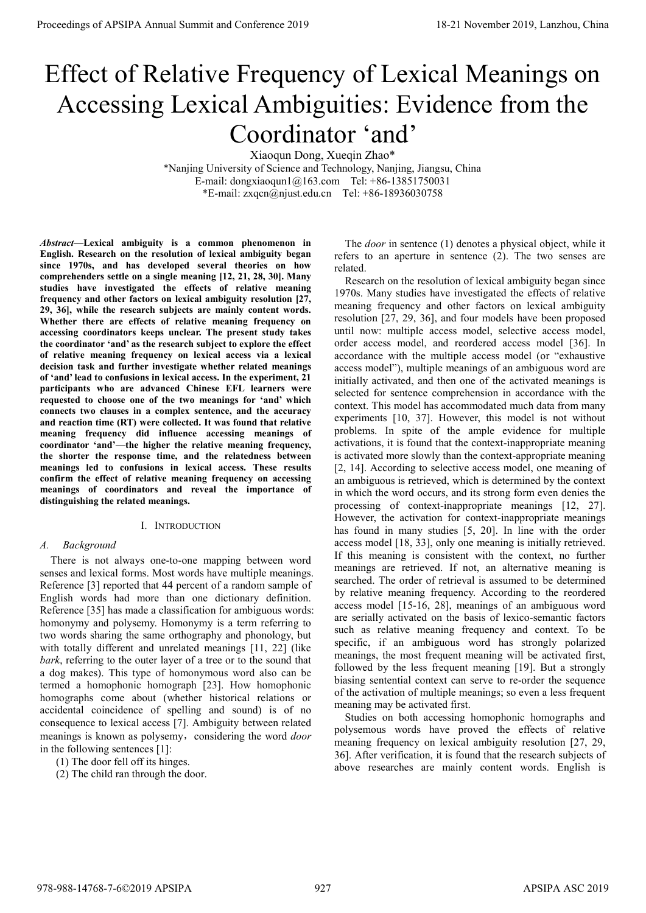# Effect of Relative Frequency of Lexical Meanings on Accessing Lexical Ambiguities: Evidence from the Coordinator 'and'

Xiaoqun Dong, Xueqin Zhao\*

\*Nanjing University of Science and Technology, Nanjing, Jiangsu, China E-mail: dongxiaoqun1@163.com Tel: +86-13851750031 \*E-mail: zxqcn@njust.edu.cn Tel: +86-18936030758

Abstract—Lexical ambiguity is a common phenomenon in English. Research on the resolution of lexical ambiguity began since 1970s, and has developed several theories on how comprehenders settle on a single meaning [12, 21, 28, 30]. Many studies have investigated the effects of relative meaning frequency and other factors on lexical ambiguity resolution [27, 29, 36], while the research subjects are mainly content words. Whether there are effects of relative meaning frequency on accessing coordinators keeps unclear. The present study takes the coordinator 'and' as the research subject to explore the effect of relative meaning frequency on lexical access via a lexical decision task and further investigate whether related meanings of 'and' lead to confusions in lexical access. In the experiment, 21 participants who are advanced Chinese EFL learners were requested to choose one of the two meanings for 'and' which connects two clauses in a complex sentence, and the accuracy and reaction time (RT) were collected. It was found that relative meaning frequency did influence accessing meanings of coordinator 'and'—the higher the relative meaning frequency, the shorter the response time, and the relatedness between meanings led to confusions in lexical access. These results confirm the effect of relative meaning frequency on accessing meanings of coordinators and reveal the importance of distinguishing the related meanings.

# I. INTRODUCTION

# A. Background

There is not always one-to-one mapping between word senses and lexical forms. Most words have multiple meanings. Reference [3] reported that 44 percent of a random sample of English words had more than one dictionary definition. Reference [35] has made a classification for ambiguous words: homonymy and polysemy. Homonymy is a term referring to two words sharing the same orthography and phonology, but with totally different and unrelated meanings [11, 22] (like bark, referring to the outer layer of a tree or to the sound that a dog makes). This type of homonymous word also can be termed a homophonic homograph [23]. How homophonic homographs come about (whether historical relations or accidental coincidence of spelling and sound) is of no consequence to lexical access [7]. Ambiguity between related meanings is known as polysemy, considering the word door in the following sentences [1]:

- (1) The door fell off its hinges.
- (2) The child ran through the door.

The door in sentence (1) denotes a physical object, while it refers to an aperture in sentence (2). The two senses are related.

Research on the resolution of lexical ambiguity began since 1970s. Many studies have investigated the effects of relative meaning frequency and other factors on lexical ambiguity resolution [27, 29, 36], and four models have been proposed until now: multiple access model, selective access model, order access model, and reordered access model [36]. In accordance with the multiple access model (or "exhaustive access model"), multiple meanings of an ambiguous word are initially activated, and then one of the activated meanings is selected for sentence comprehension in accordance with the context. This model has accommodated much data from many experiments [10, 37]. However, this model is not without problems. In spite of the ample evidence for multiple activations, it is found that the context-inappropriate meaning is activated more slowly than the context-appropriate meaning [2, 14]. According to selective access model, one meaning of an ambiguous is retrieved, which is determined by the context in which the word occurs, and its strong form even denies the processing of context-inappropriate meanings [12, 27]. However, the activation for context-inappropriate meanings has found in many studies [5, 20]. In line with the order access model [18, 33], only one meaning is initially retrieved. If this meaning is consistent with the context, no further meanings are retrieved. If not, an alternative meaning is searched. The order of retrieval is assumed to be determined by relative meaning frequency. According to the reordered access model [15-16, 28], meanings of an ambiguous word are serially activated on the basis of lexico-semantic factors such as relative meaning frequency and context. To be specific, if an ambiguous word has strongly polarized meanings, the most frequent meaning will be activated first, followed by the less frequent meaning [19]. But a strongly biasing sentential context can serve to re-order the sequence of the activation of multiple meanings; so even a less frequent meaning may be activated first. **Proceedings of APSIPA Annual Summit at China 978-988-14768.** The Conference 2019 18-21 November 2019 18-21 November 2019, Conference 2019 18-21 November 2019, Conference 2019 18-21 November 2019, Conference 2019 18-21 No

Studies on both accessing homophonic homographs and polysemous words have proved the effects of relative meaning frequency on lexical ambiguity resolution [27, 29, 36]. After verification, it is found that the research subjects of above researches are mainly content words. English is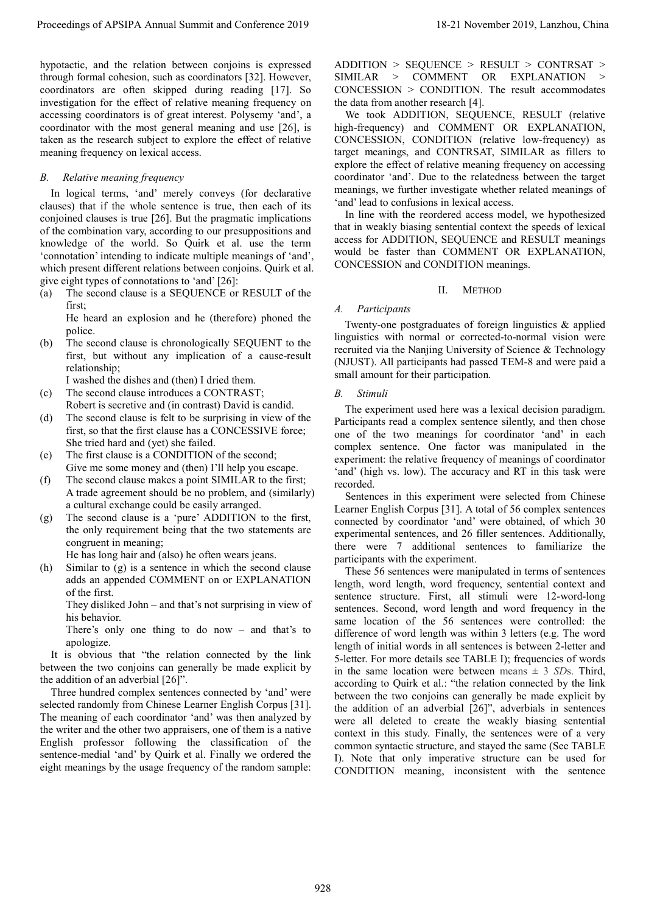hypotactic, and the relation between conjoins is expressed through formal cohesion, such as coordinators [32]. However, coordinators are often skipped during reading [17]. So investigation for the effect of relative meaning frequency on accessing coordinators is of great interest. Polysemy 'and', a coordinator with the most general meaning and use [26], is taken as the research subject to explore the effect of relative meaning frequency on lexical access.

# B. Relative meaning frequency

In logical terms, 'and' merely conveys (for declarative clauses) that if the whole sentence is true, then each of its conjoined clauses is true [26]. But the pragmatic implications of the combination vary, according to our presuppositions and knowledge of the world. So Quirk et al. use the term 'connotation' intending to indicate multiple meanings of 'and', which present different relations between conjoins. Quirk et al. give eight types of connotations to 'and' [26]:

(a) The second clause is a SEQUENCE or RESULT of the first;

He heard an explosion and he (therefore) phoned the police.

(b) The second clause is chronologically SEQUENT to the first, but without any implication of a cause-result relationship;

I washed the dishes and (then) I dried them.

- (c) The second clause introduces a CONTRAST; Robert is secretive and (in contrast) David is candid.
- (d) The second clause is felt to be surprising in view of the first, so that the first clause has a CONCESSIVE force; She tried hard and (yet) she failed.
- (e) The first clause is a CONDITION of the second; Give me some money and (then) I'll help you escape.
- (f) The second clause makes a point SIMILAR to the first; A trade agreement should be no problem, and (similarly) a cultural exchange could be easily arranged.
- (g) The second clause is a 'pure' ADDITION to the first, the only requirement being that the two statements are congruent in meaning;

He has long hair and (also) he often wears jeans.

(h) Similar to (g) is a sentence in which the second clause adds an appended COMMENT on or EXPLANATION of the first.

They disliked John – and that's not surprising in view of his behavior.

There's only one thing to do now – and that's to apologize.

 It is obvious that "the relation connected by the link between the two conjoins can generally be made explicit by the addition of an adverbial [26]".

Three hundred complex sentences connected by 'and' were selected randomly from Chinese Learner English Corpus [31]. The meaning of each coordinator 'and' was then analyzed by the writer and the other two appraisers, one of them is a native English professor following the classification of the sentence-medial 'and' by Quirk et al. Finally we ordered the eight meanings by the usage frequency of the random sample: ADDITION > SEQUENCE > RESULT > CONTRSAT > SIMILAR > COMMENT OR EXPLANATION > CONCESSION > CONDITION. The result accommodates the data from another research [4].

We took ADDITION, SEQUENCE, RESULT (relative high-frequency) and COMMENT OR EXPLANATION, CONCESSION, CONDITION (relative low-frequency) as target meanings, and CONTRSAT, SIMILAR as fillers to explore the effect of relative meaning frequency on accessing coordinator 'and'. Due to the relatedness between the target meanings, we further investigate whether related meanings of 'and' lead to confusions in lexical access.

In line with the reordered access model, we hypothesized that in weakly biasing sentential context the speeds of lexical access for ADDITION, SEQUENCE and RESULT meanings would be faster than COMMENT OR EXPLANATION, CONCESSION and CONDITION meanings.

# II. METHOD

# A. Participants

Twenty-one postgraduates of foreign linguistics & applied linguistics with normal or corrected-to-normal vision were recruited via the Nanjing University of Science & Technology (NJUST). All participants had passed TEM-8 and were paid a small amount for their participation.

# B. Stimuli

The experiment used here was a lexical decision paradigm. Participants read a complex sentence silently, and then chose one of the two meanings for coordinator 'and' in each complex sentence. One factor was manipulated in the experiment: the relative frequency of meanings of coordinator 'and' (high vs. low). The accuracy and RT in this task were recorded.

Sentences in this experiment were selected from Chinese Learner English Corpus [31]. A total of 56 complex sentences connected by coordinator 'and' were obtained, of which 30 experimental sentences, and 26 filler sentences. Additionally, there were 7 additional sentences to familiarize the participants with the experiment.

These 56 sentences were manipulated in terms of sentences length, word length, word frequency, sentential context and sentence structure. First, all stimuli were 12-word-long sentences. Second, word length and word frequency in the same location of the 56 sentences were controlled: the difference of word length was within 3 letters (e.g. The word length of initial words in all sentences is between 2-letter and 5-letter. For more details see TABLE I); frequencies of words in the same location were between means  $\pm$  3 SDs. Third, according to Quirk et al.: "the relation connected by the link between the two conjoins can generally be made explicit by the addition of an adverbial [26]", adverbials in sentences were all deleted to create the weakly biasing sentential context in this study. Finally, the sentences were of a very common syntactic structure, and stayed the same (See TABLE I). Note that only imperative structure can be used for CONDITION meaning, inconsistent with the sentence Proceedings of APSIPA Annual Summit at the Summit and Conference 2019 18-21 November 2019 18-21 November 2019 18-21 November 2019 18-21 November 2019 18-21 November 2019 18-21 November 2019 18-21 November 2019 18-21 Novem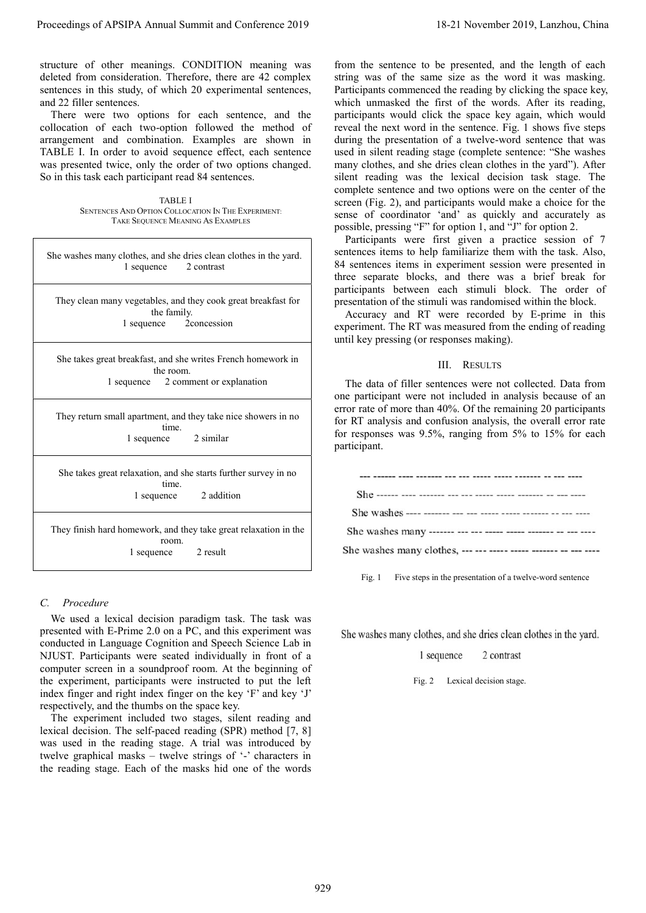TABLE I SENTENCES AND OPTION COLLOCATION IN THE EXPERIMENT: TAKE SEQUENCE MEANING AS EXAMPLES

| Proceedings of APSIPA Annual Summit and Conference 2019                                                                                                                                                                                                                                                                                                                                                                                                                                                                                                                                                                                                                                                                                                 | 18-21 November 2019, Lanzhou, China                                                                                                                                                                                                                                                                                                                                                                                                                                                                                                                                                                                                                                                                                                                                                                                                                                                                                                                           |  |  |  |
|---------------------------------------------------------------------------------------------------------------------------------------------------------------------------------------------------------------------------------------------------------------------------------------------------------------------------------------------------------------------------------------------------------------------------------------------------------------------------------------------------------------------------------------------------------------------------------------------------------------------------------------------------------------------------------------------------------------------------------------------------------|---------------------------------------------------------------------------------------------------------------------------------------------------------------------------------------------------------------------------------------------------------------------------------------------------------------------------------------------------------------------------------------------------------------------------------------------------------------------------------------------------------------------------------------------------------------------------------------------------------------------------------------------------------------------------------------------------------------------------------------------------------------------------------------------------------------------------------------------------------------------------------------------------------------------------------------------------------------|--|--|--|
| structure of other meanings. CONDITION meaning was<br>deleted from consideration. Therefore, there are 42 complex<br>sentences in this study, of which 20 experimental sentences,<br>and 22 filler sentences.<br>There were two options for each sentence, and the<br>collocation of each two-option followed the method of<br>arrangement and combination. Examples are shown in<br>TABLE I. In order to avoid sequence effect, each sentence<br>was presented twice, only the order of two options changed.<br>So in this task each participant read 84 sentences.<br><b>TABLE I</b><br>SENTENCES AND OPTION COLLOCATION IN THE EXPERIMENT:<br>TAKE SEQUENCE MEANING AS EXAMPLES                                                                      | from the sentence to be presented, and the length of each<br>string was of the same size as the word it was masking.<br>Participants commenced the reading by clicking the space key,<br>which unmasked the first of the words. After its reading,<br>participants would click the space key again, which would<br>reveal the next word in the sentence. Fig. 1 shows five steps<br>during the presentation of a twelve-word sentence that was<br>used in silent reading stage (complete sentence: "She washes<br>many clothes, and she dries clean clothes in the yard"). After<br>silent reading was the lexical decision task stage. The<br>complete sentence and two options were on the center of the<br>screen (Fig. 2), and participants would make a choice for the<br>sense of coordinator 'and' as quickly and accurately as<br>possible, pressing "F" for option 1, and "J" for option 2.<br>Participants were first given a practice session of 7 |  |  |  |
| She washes many clothes, and she dries clean clothes in the yard.<br>1 sequence<br>2 contrast                                                                                                                                                                                                                                                                                                                                                                                                                                                                                                                                                                                                                                                           | sentences items to help familiarize them with the task. Also,<br>84 sentences items in experiment session were presented in<br>three separate blocks, and there was a brief break for<br>participants between each stimuli block. The order of                                                                                                                                                                                                                                                                                                                                                                                                                                                                                                                                                                                                                                                                                                                |  |  |  |
| They clean many vegetables, and they cook great breakfast for<br>the family.<br>2concession<br>1 sequence                                                                                                                                                                                                                                                                                                                                                                                                                                                                                                                                                                                                                                               | presentation of the stimuli was randomised within the block.<br>Accuracy and RT were recorded by E-prime in this<br>experiment. The RT was measured from the ending of reading<br>until key pressing (or responses making).                                                                                                                                                                                                                                                                                                                                                                                                                                                                                                                                                                                                                                                                                                                                   |  |  |  |
| She takes great breakfast, and she writes French homework in<br>the room.                                                                                                                                                                                                                                                                                                                                                                                                                                                                                                                                                                                                                                                                               | III. RESULTS                                                                                                                                                                                                                                                                                                                                                                                                                                                                                                                                                                                                                                                                                                                                                                                                                                                                                                                                                  |  |  |  |
| 2 comment or explanation<br>1 sequence                                                                                                                                                                                                                                                                                                                                                                                                                                                                                                                                                                                                                                                                                                                  | The data of filler sentences were not collected. Data from<br>one participant were not included in analysis because of an                                                                                                                                                                                                                                                                                                                                                                                                                                                                                                                                                                                                                                                                                                                                                                                                                                     |  |  |  |
| They return small apartment, and they take nice showers in no<br>time.<br>1 sequence<br>2 similar                                                                                                                                                                                                                                                                                                                                                                                                                                                                                                                                                                                                                                                       | error rate of more than 40%. Of the remaining 20 participants<br>for RT analysis and confusion analysis, the overall error rate<br>for responses was 9.5%, ranging from 5% to 15% for each<br>participant.                                                                                                                                                                                                                                                                                                                                                                                                                                                                                                                                                                                                                                                                                                                                                    |  |  |  |
| She takes great relaxation, and she starts further survey in no                                                                                                                                                                                                                                                                                                                                                                                                                                                                                                                                                                                                                                                                                         |                                                                                                                                                                                                                                                                                                                                                                                                                                                                                                                                                                                                                                                                                                                                                                                                                                                                                                                                                               |  |  |  |
| time.<br>2 addition<br>1 sequence                                                                                                                                                                                                                                                                                                                                                                                                                                                                                                                                                                                                                                                                                                                       |                                                                                                                                                                                                                                                                                                                                                                                                                                                                                                                                                                                                                                                                                                                                                                                                                                                                                                                                                               |  |  |  |
| They finish hard homework, and they take great relaxation in the                                                                                                                                                                                                                                                                                                                                                                                                                                                                                                                                                                                                                                                                                        |                                                                                                                                                                                                                                                                                                                                                                                                                                                                                                                                                                                                                                                                                                                                                                                                                                                                                                                                                               |  |  |  |
| room.<br>2 result<br>1 sequence                                                                                                                                                                                                                                                                                                                                                                                                                                                                                                                                                                                                                                                                                                                         |                                                                                                                                                                                                                                                                                                                                                                                                                                                                                                                                                                                                                                                                                                                                                                                                                                                                                                                                                               |  |  |  |
|                                                                                                                                                                                                                                                                                                                                                                                                                                                                                                                                                                                                                                                                                                                                                         | Fig. $1$<br>Five steps in the presentation of a twelve-word sentence                                                                                                                                                                                                                                                                                                                                                                                                                                                                                                                                                                                                                                                                                                                                                                                                                                                                                          |  |  |  |
| Procedure<br>$C_{\cdot}$                                                                                                                                                                                                                                                                                                                                                                                                                                                                                                                                                                                                                                                                                                                                |                                                                                                                                                                                                                                                                                                                                                                                                                                                                                                                                                                                                                                                                                                                                                                                                                                                                                                                                                               |  |  |  |
| We used a lexical decision paradigm task. The task was<br>presented with E-Prime 2.0 on a PC, and this experiment was<br>conducted in Language Cognition and Speech Science Lab in<br>NJUST. Participants were seated individually in front of a<br>computer screen in a soundproof room. At the beginning of<br>the experiment, participants were instructed to put the left<br>index finger and right index finger on the key 'F' and key 'J'<br>respectively, and the thumbs on the space key.<br>The experiment included two stages, silent reading and<br>lexical decision. The self-paced reading (SPR) method [7, 8]<br>was used in the reading stage. A trial was introduced by<br>twelve graphical masks – twelve strings of '-' characters in | She washes many clothes, and she dries clean clothes in the yard.<br>2 contrast<br>1 sequence<br>Lexical decision stage.<br>Fig. $2$                                                                                                                                                                                                                                                                                                                                                                                                                                                                                                                                                                                                                                                                                                                                                                                                                          |  |  |  |
| the reading stage. Each of the masks hid one of the words                                                                                                                                                                                                                                                                                                                                                                                                                                                                                                                                                                                                                                                                                               |                                                                                                                                                                                                                                                                                                                                                                                                                                                                                                                                                                                                                                                                                                                                                                                                                                                                                                                                                               |  |  |  |
|                                                                                                                                                                                                                                                                                                                                                                                                                                                                                                                                                                                                                                                                                                                                                         |                                                                                                                                                                                                                                                                                                                                                                                                                                                                                                                                                                                                                                                                                                                                                                                                                                                                                                                                                               |  |  |  |
|                                                                                                                                                                                                                                                                                                                                                                                                                                                                                                                                                                                                                                                                                                                                                         | 929                                                                                                                                                                                                                                                                                                                                                                                                                                                                                                                                                                                                                                                                                                                                                                                                                                                                                                                                                           |  |  |  |

# III. RESULTS

| Fig. 1 Five steps in the presentation of a twelve-word sentence |
|-----------------------------------------------------------------|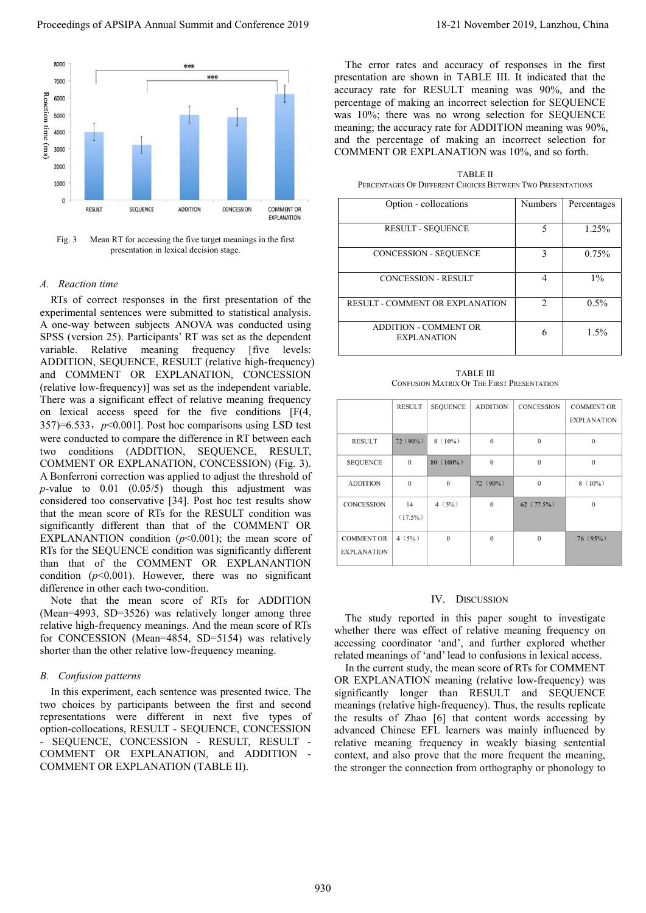

Fig. 3 Mean RT for accessing the five target meanings in the first presentation in lexical decision stage.

# A. Reaction time

RTs of correct responses in the first presentation of the experimental sentences were submitted to statistical analysis. A one-way between subjects ANOVA was conducted using SPSS (version 25). Participants' RT was set as the dependent variable. Relative meaning frequency [five levels: ADDITION, SEQUENCE, RESULT (relative high-frequency) and COMMENT OR EXPLANATION, CONCESSION (relative low-frequency)] was set as the independent variable. There was a significant effect of relative meaning frequency on lexical access speed for the five conditions [F(4, 357)=6.533,  $p<0.001$ ]. Post hoc comparisons using LSD test were conducted to compare the difference in RT between each two conditions (ADDITION, SEQUENCE, RESULT, COMMENT OR EXPLANATION, CONCESSION) (Fig. 3). A Bonferroni correction was applied to adjust the threshold of  $p$ -value to 0.01 (0.05/5) though this adjustment was considered too conservative [34]. Post hoc test results show that the mean score of RTs for the RESULT condition was significantly different than that of the COMMENT OR EXPLANANTION condition  $(p<0.001)$ ; the mean score of RTs for the SEQUENCE condition was significantly different than that of the COMMENT OR EXPLANANTION condition  $(p<0.001)$ . However, there was no significant difference in other each two-condition. Proceedings of APSIPA Annual Summit and Conference 2019<br>
The same are not the system pair and conference 2019 in the system pair and conference 2019 in the system pair and conference 2019 in the system pair and conference

Note that the mean score of RTs for ADDITION (Mean=4993, SD=3526) was relatively longer among three relative high-frequency meanings. And the mean score of RTs for CONCESSION (Mean=4854, SD=5154) was relatively shorter than the other relative low-frequency meaning.

# B. Confusion patterns

In this experiment, each sentence was presented twice. The two choices by participants between the first and second representations were different in next five types of option-collocations, RESULT - SEQUENCE, CONCESSION - SEQUENCE, CONCESSION - RESULT, RESULT - COMMENT OR EXPLANATION, and ADDITION - COMMENT OR EXPLANATION (TABLE II).

The error rates and accuracy of responses in the first presentation are shown in TABLE III. It indicated that the accuracy rate for RESULT meaning was 90%, and the percentage of making an incorrect selection for SEQUENCE was 10%; there was no wrong selection for SEQUENCE meaning; the accuracy rate for ADDITION meaning was 90%, and the percentage of making an incorrect selection for COMMENT OR EXPLANATION was 10%, and so forth.

TABLE II PERCENTAGES OF DIFFERENT CHOICES BETWEEN TWO PRESENTATIONS

| Option - collocations                              | <b>Numbers</b> | Percentages |
|----------------------------------------------------|----------------|-------------|
| <b>RESULT - SEQUENCE</b>                           | 5              | 1.25%       |
| <b>CONCESSION - SEQUENCE</b>                       | ٩              | 0.75%       |
| <b>CONCESSION - RESULT</b>                         | 4              | $1\%$       |
| RESULT - COMMENT OR EXPLANATION                    | $\mathfrak{D}$ | $0.5\%$     |
| <b>ADDITION - COMMENT OR</b><br><b>EXPLANATION</b> | 6              | $1.5\%$     |

TABLE III CONFUSION MATRIX OF THE FIRST PRESENTATION

|                                         | <b>RESULT</b>    | <b>SEQUENCE</b> | <b>ADDITION</b> | <b>CONCESSION</b> | <b>COMMENT OR</b>  |
|-----------------------------------------|------------------|-----------------|-----------------|-------------------|--------------------|
|                                         |                  |                 |                 |                   | <b>EXPLANATION</b> |
| <b>RESULT</b>                           | $72(90\%)$       | $8(10\%)$       | $\Omega$        | $\mathbf{0}$      | $\Omega$           |
| <b>SEQUENCE</b>                         | $\Omega$         | $80(100\%)$     | $\Omega$        | $\theta$          | $\Omega$           |
| <b>ADDITION</b>                         | $\theta$         | $\mathbf{0}$    | $72(90\%)$      | $\mathbf{0}$      | $8(10\%)$          |
| <b>CONCESSION</b>                       | 14<br>$(17.5\%)$ | 4(5%)           | $\Omega$        | $62(77.5\%)$      | $\Omega$           |
| <b>COMMENT OR</b><br><b>EXPLANATION</b> | 4(5%)            | $\theta$        | $\theta$        | $\theta$          | 76(95%)            |

# IV. DISCUSSION

The study reported in this paper sought to investigate whether there was effect of relative meaning frequency on accessing coordinator 'and', and further explored whether related meanings of 'and' lead to confusions in lexical access.

In the current study, the mean score of RTs for COMMENT OR EXPLANATION meaning (relative low-frequency) was significantly longer than RESULT and SEQUENCE meanings (relative high-frequency). Thus, the results replicate the results of Zhao [6] that content words accessing by advanced Chinese EFL learners was mainly influenced by relative meaning frequency in weakly biasing sentential context, and also prove that the more frequent the meaning, the stronger the connection from orthography or phonology to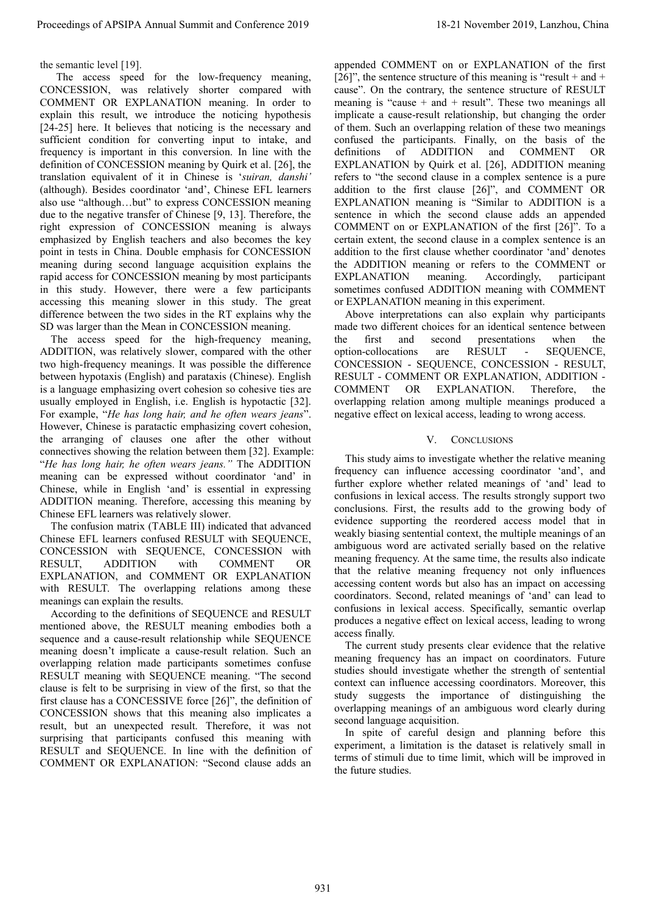# the semantic level [19].

 The access speed for the low-frequency meaning, CONCESSION, was relatively shorter compared with COMMENT OR EXPLANATION meaning. In order to explain this result, we introduce the noticing hypothesis [24-25] here. It believes that noticing is the necessary and sufficient condition for converting input to intake, and frequency is important in this conversion. In line with the definition of CONCESSION meaning by Quirk et al. [26], the translation equivalent of it in Chinese is 'suiran, danshi' (although). Besides coordinator 'and', Chinese EFL learners also use "although…but" to express CONCESSION meaning due to the negative transfer of Chinese [9, 13]. Therefore, the right expression of CONCESSION meaning is always emphasized by English teachers and also becomes the key point in tests in China. Double emphasis for CONCESSION meaning during second language acquisition explains the rapid access for CONCESSION meaning by most participants in this study. However, there were a few participants accessing this meaning slower in this study. The great difference between the two sides in the RT explains why the SD was larger than the Mean in CONCESSION meaning. Proceedings of APSIPA Annual Summit at China 932. The United COMBUS 1982. The United Conference 2012 November 2019, 2013 November 2019, 2013 November 2019, 2013 November 2019, 2013 November 2019, 2013 November 2019, 2013

The access speed for the high-frequency meaning, ADDITION, was relatively slower, compared with the other two high-frequency meanings. It was possible the difference between hypotaxis (English) and parataxis (Chinese). English is a language emphasizing overt cohesion so cohesive ties are usually employed in English, i.e. English is hypotactic [32]. For example, "He has long hair, and he often wears jeans". However, Chinese is paratactic emphasizing covert cohesion, the arranging of clauses one after the other without connectives showing the relation between them [32]. Example: "He has long hair, he often wears jeans." The ADDITION meaning can be expressed without coordinator 'and' in Chinese, while in English 'and' is essential in expressing ADDITION meaning. Therefore, accessing this meaning by Chinese EFL learners was relatively slower.

The confusion matrix (TABLE III) indicated that advanced Chinese EFL learners confused RESULT with SEQUENCE, CONCESSION with SEQUENCE, CONCESSION with RESULT, ADDITION with COMMENT OR EXPLANATION, and COMMENT OR EXPLANATION with RESULT. The overlapping relations among these meanings can explain the results.

According to the definitions of SEQUENCE and RESULT mentioned above, the RESULT meaning embodies both a sequence and a cause-result relationship while SEQUENCE meaning doesn't implicate a cause-result relation. Such an overlapping relation made participants sometimes confuse RESULT meaning with SEQUENCE meaning. "The second clause is felt to be surprising in view of the first, so that the first clause has a CONCESSIVE force [26]", the definition of CONCESSION shows that this meaning also implicates a result, but an unexpected result. Therefore, it was not surprising that participants confused this meaning with RESULT and SEQUENCE. In line with the definition of COMMENT OR EXPLANATION: "Second clause adds an

appended COMMENT on or EXPLANATION of the first  $[26]$ ", the sentence structure of this meaning is "result + and + cause". On the contrary, the sentence structure of RESULT meaning is "cause  $+$  and  $+$  result". These two meanings all implicate a cause-result relationship, but changing the order of them. Such an overlapping relation of these two meanings confused the participants. Finally, on the basis of the definitions of ADDITION and COMMENT OR EXPLANATION by Quirk et al. [26], ADDITION meaning refers to "the second clause in a complex sentence is a pure addition to the first clause [26]", and COMMENT OR EXPLANATION meaning is "Similar to ADDITION is a sentence in which the second clause adds an appended COMMENT on or EXPLANATION of the first [26]". To a certain extent, the second clause in a complex sentence is an addition to the first clause whether coordinator 'and' denotes the ADDITION meaning or refers to the COMMENT or EXPLANATION meaning. Accordingly, participant sometimes confused ADDITION meaning with COMMENT or EXPLANATION meaning in this experiment.

Above interpretations can also explain why participants made two different choices for an identical sentence between the first and second presentations when the option-collocations are RESULT - SEQUENCE, CONCESSION - SEQUENCE, CONCESSION - RESULT, RESULT - COMMENT OR EXPLANATION, ADDITION - COMMENT OR EXPLANATION. Therefore, the overlapping relation among multiple meanings produced a negative effect on lexical access, leading to wrong access.

# V. CONCLUSIONS

This study aims to investigate whether the relative meaning frequency can influence accessing coordinator 'and', and further explore whether related meanings of 'and' lead to confusions in lexical access. The results strongly support two conclusions. First, the results add to the growing body of evidence supporting the reordered access model that in weakly biasing sentential context, the multiple meanings of an ambiguous word are activated serially based on the relative meaning frequency. At the same time, the results also indicate that the relative meaning frequency not only influences accessing content words but also has an impact on accessing coordinators. Second, related meanings of 'and' can lead to confusions in lexical access. Specifically, semantic overlap produces a negative effect on lexical access, leading to wrong access finally.

The current study presents clear evidence that the relative meaning frequency has an impact on coordinators. Future studies should investigate whether the strength of sentential context can influence accessing coordinators. Moreover, this study suggests the importance of distinguishing the overlapping meanings of an ambiguous word clearly during second language acquisition.

In spite of careful design and planning before this experiment, a limitation is the dataset is relatively small in terms of stimuli due to time limit, which will be improved in the future studies.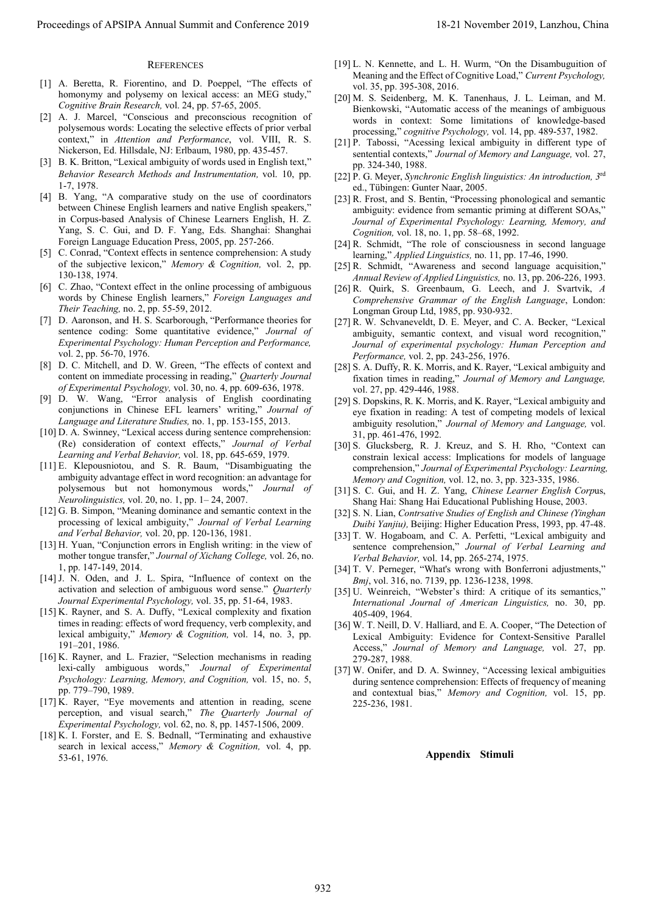### **REFERENCES**

- [1] A. Beretta, R. Fiorentino, and D. Poeppel, "The effects of homonymy and polysemy on lexical access: an MEG study," Cognitive Brain Research, vol. 24, pp. 57-65, 2005.
- [2] A. J. Marcel, "Conscious and preconscious recognition of polysemous words: Locating the selective effects of prior verbal context," in Attention and Performance, vol. VIII, R. S. Nickerson, Ed. Hillsdale, NJ: Erlbaum, 1980, pp. 435-457.
- [3] B. K. Britton, "Lexical ambiguity of words used in English text," Behavior Research Methods and Instrumentation, vol. 10, pp. 1-7, 1978.
- [4] B. Yang, "A comparative study on the use of coordinators between Chinese English learners and native English speakers," in Corpus-based Analysis of Chinese Learners English, H. Z. Yang, S. C. Gui, and D. F. Yang, Eds. Shanghai: Shanghai Foreign Language Education Press, 2005, pp. 257-266. Proceedings of APSIPA Annual Summit and Conference 2019 18-21 November 2019 18-21 November 2019 18-21 November 2019 18-21 November 2019 18-21 November 2019 18-21 November 2019 18-21 November 2019 18-21 November 2019 18-21
- [5] C. Conrad, "Context effects in sentence comprehension: A study of the subjective lexicon," Memory & Cognition, vol. 2, pp. 130-138, 1974.
- [6] C. Zhao, "Context effect in the online processing of ambiguous words by Chinese English learners," Foreign Languages and Their Teaching, no. 2, pp. 55-59, 2012.
- [7] D. Aaronson, and H. S. Scarborough, "Performance theories for sentence coding: Some quantitative evidence," Journal of Experimental Psychology: Human Perception and Performance, vol. 2, pp. 56-70, 1976.
- [8] D. C. Mitchell, and D. W. Green, "The effects of context and content on immediate processing in reading," Quarterly Journal of Experimental Psychology, vol. 30, no. 4, pp. 609-636, 1978.
- [9] D. W. Wang, "Error analysis of English coordinating conjunctions in Chinese EFL learners' writing," Journal of Language and Literature Studies, no. 1, pp. 153-155, 2013.
- [10] D. A. Swinney, "Lexical access during sentence comprehension: (Re) consideration of context effects," Journal of Verbal Learning and Verbal Behavior, vol. 18, pp. 645-659, 1979.
- [11] E. Klepousniotou, and S. R. Baum, "Disambiguating the ambiguity advantage effect in word recognition: an advantage for polysemous but not homonymous words," Journal of Neurolinguistics, vol. 20, no. 1, pp. 1– 24, 2007.
- [12] G. B. Simpon, "Meaning dominance and semantic context in the processing of lexical ambiguity," Journal of Verbal Learning and Verbal Behavior, vol. 20, pp. 120-136, 1981.
- [13] H. Yuan, "Conjunction errors in English writing: in the view of mother tongue transfer," Journal of Xichang College, vol. 26, no. 1, pp. 147-149, 2014.
- [14] J. N. Oden, and J. L. Spira, "Influence of context on the activation and selection of ambiguous word sense." Quarterly Journal Experimental Psychology, vol. 35, pp. 51-64, 1983.
- [15] K. Rayner, and S. A. Duffy, "Lexical complexity and fixation times in reading: effects of word frequency, verb complexity, and lexical ambiguity," Memory & Cognition, vol. 14, no. 3, pp. 191–201, 1986.
- [16] K. Rayner, and L. Frazier, "Selection mechanisms in reading lexi-cally ambiguous words," Journal of Experimental Psychology: Learning, Memory, and Cognition, vol. 15, no. 5, pp. 779–790, 1989.
- [17] K. Rayer, "Eye movements and attention in reading, scene perception, and visual search," The Quarterly Journal of Experimental Psychology, vol. 62, no. 8, pp. 1457-1506, 2009.
- [18] K. I. Forster, and E. S. Bednall, "Terminating and exhaustive search in lexical access," Memory & Cognition, vol. 4, pp. 53-61, 1976.
- [19] L. N. Kennette, and L. H. Wurm, "On the Disambuguition of Meaning and the Effect of Cognitive Load," Current Psychology, vol. 35, pp. 395-308, 2016.
- [20] M. S. Seidenberg, M. K. Tanenhaus, J. L. Leiman, and M. Bienkowski, "Automatic access of the meanings of ambiguous words in context: Some limitations of knowledge-based processing," cognitive Psychology, vol. 14, pp. 489-537, 1982.
- [21] P. Tabossi, "Acessing lexical ambiguity in different type of sentential contexts," Journal of Memory and Language, vol. 27, pp. 324-340, 1988.
- [22] P. G. Meyer, Synchronic English linguistics: An introduction, 3<sup>rd</sup> ed., Tübingen: Gunter Naar, 2005.
- [23] R. Frost, and S. Bentin, "Processing phonological and semantic ambiguity: evidence from semantic priming at different SOAs," Journal of Experimental Psychology: Learning, Memory, and Cognition, vol. 18, no. 1, pp. 58–68, 1992.
- [24] R. Schmidt, "The role of consciousness in second language learning," Applied Linguistics, no. 11, pp. 17-46, 1990.
- [25] R. Schmidt, "Awareness and second language acquisition," Annual Review of Applied Linguistics, no. 13, pp. 206-226, 1993.
- [26] R. Quirk, S. Greenbaum, G. Leech, and J. Svartvik, A Comprehensive Grammar of the English Language, London: Longman Group Ltd, 1985, pp. 930-932.
- [27] R. W. Schvaneveldt, D. E. Meyer, and C. A. Becker, "Lexical ambiguity, semantic context, and visual word recognition," Journal of experimental psychology: Human Perception and Performance, vol. 2, pp. 243-256, 1976.
- [28] S. A. Duffy, R. K. Morris, and K. Rayer, "Lexical ambiguity and fixation times in reading," Journal of Memory and Language, vol. 27, pp. 429-446, 1988.
- [29] S. Dopskins, R. K. Morris, and K. Rayer, "Lexical ambiguity and eye fixation in reading: A test of competing models of lexical ambiguity resolution," Journal of Memory and Language, vol. 31, pp. 461-476, 1992.
- [30] S. Glucksberg, R. J. Kreuz, and S. H. Rho, "Context can constrain lexical access: Implications for models of language comprehension," Journal of Experimental Psychology: Learning, Memory and Cognition, vol. 12, no. 3, pp. 323-335, 1986.
- [31] S. C. Gui, and H. Z. Yang, Chinese Learner English Corpus, Shang Hai: Shang Hai Educational Publishing House, 2003.
- [32] S. N. Lian, Contrsative Studies of English and Chinese (Yinghan Duibi Yanjiu), Beijing: Higher Education Press, 1993, pp. 47-48.
- [33] T. W. Hogaboam, and C. A. Perfetti, "Lexical ambiguity and sentence comprehension," Journal of Verbal Learning and Verbal Behavior, vol. 14, pp. 265-274, 1975.
- [34] T. V. Perneger, "What's wrong with Bonferroni adjustments," Bmj, vol. 316, no. 7139, pp. 1236-1238, 1998.
- [35] U. Weinreich, "Webster's third: A critique of its semantics," International Journal of American Linguistics, no. 30, pp. 405-409, 1964.
- [36] W. T. Neill, D. V. Halliard, and E. A. Cooper, "The Detection of Lexical Ambiguity: Evidence for Context-Sensitive Parallel Access," Journal of Memory and Language, vol. 27, pp. 279-287, 1988.
- [37] W. Onifer, and D. A. Swinney, "Accessing lexical ambiguities during sentence comprehension: Effects of frequency of meaning and contextual bias," Memory and Cognition, vol. 15, pp. 225-236, 1981.

### Appendix Stimuli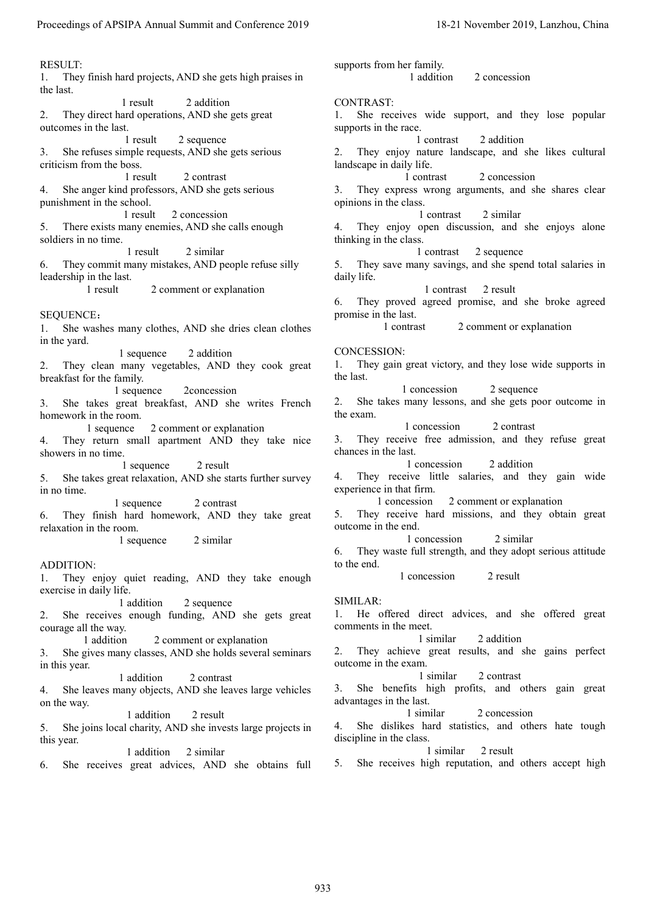RESULT: 1. They finish hard projects, AND she gets high praises in the last. 1 result 2 addition 2. They direct hard operations, AND she gets great outcomes in the last. 1 result 2 sequence 3. She refuses simple requests, AND she gets serious criticism from the boss. 1 result 2 contrast 4. She anger kind professors, AND she gets serious punishment in the school. 1 result 2 concession 5. There exists many enemies, AND she calls enough soldiers in no time. 1 result 2 similar 6. They commit many mistakes, AND people refuse silly leadership in the last. 1 result 2 comment or explanation SEQUENCE: 1. She washes many clothes, AND she dries clean clothes in the yard. 1 sequence 2 addition 2. They clean many vegetables, AND they cook great breakfast for the family. 1 sequence 2concession 3. She takes great breakfast, AND she writes French homework in the room. 1 sequence 2 comment or explanation 4. They return small apartment AND they take nice showers in no time. 1 sequence 2 result 5. She takes great relaxation, AND she starts further survey in no time. 1 sequence 2 contrast 6. They finish hard homework, AND they take great relaxation in the room. 1 sequence 2 similar ADDITION: 1. They enjoy quiet reading, AND they take enough exercise in daily life. 1 addition 2 sequence 2. She receives enough funding, AND she gets great courage all the way. 1 addition 2 comment or explanation 3. She gives many classes, AND she holds several seminars in this year. 1 addition 2 contrast 4. She leaves many objects, AND she leaves large vehicles on the way. 1 addition 2 result supports from her family. Proceedings of APSIPA Annual Summit and Conference 2019<br>
In Apple, the specified heat of the specified heat in the specified heat in the specified heat is equivalent to the specified heat in the specified heat in the spec

5. She joins local charity, AND she invests large projects in this year.

1 addition 2 similar

6. She receives great advices, AND she obtains full

1 addition 2 concession CONTRAST: 1. She receives wide support, and they lose popular supports in the race. 1 contrast 2 addition 2. They enjoy nature landscape, and she likes cultural landscape in daily life. 1 contrast 2 concession 3. They express wrong arguments, and she shares clear opinions in the class. 1 contrast 2 similar 4. They enjoy open discussion, and she enjoys alone thinking in the class. 1 contrast 2 sequence 5. They save many savings, and she spend total salaries in daily life. 1 contrast 2 result 6. They proved agreed promise, and she broke agreed promise in the last. 1 contrast 2 comment or explanation CONCESSION: 1. They gain great victory, and they lose wide supports in the last. 1 concession 2 sequence 2. She takes many lessons, and she gets poor outcome in the exam. 1 concession 2 contrast 3. They receive free admission, and they refuse great chances in the last. 1 concession 2 addition 4. They receive little salaries, and they gain wide experience in that firm. 1 concession 2 comment or explanation 5. They receive hard missions, and they obtain great outcome in the end. 1 concession 2 similar 6. They waste full strength, and they adopt serious attitude to the end. 1 concession 2 result SIMILAR: 1. He offered direct advices, and she offered great comments in the meet. 1 similar 2 addition 2. They achieve great results, and she gains perfect outcome in the exam. 1 similar 2 contrast 3. She benefits high profits, and others gain great advantages in the last. 1 similar 2 concession 4. She dislikes hard statistics, and others hate tough discipline in the class.

1 similar 2 result 5. She receives high reputation, and others accept high